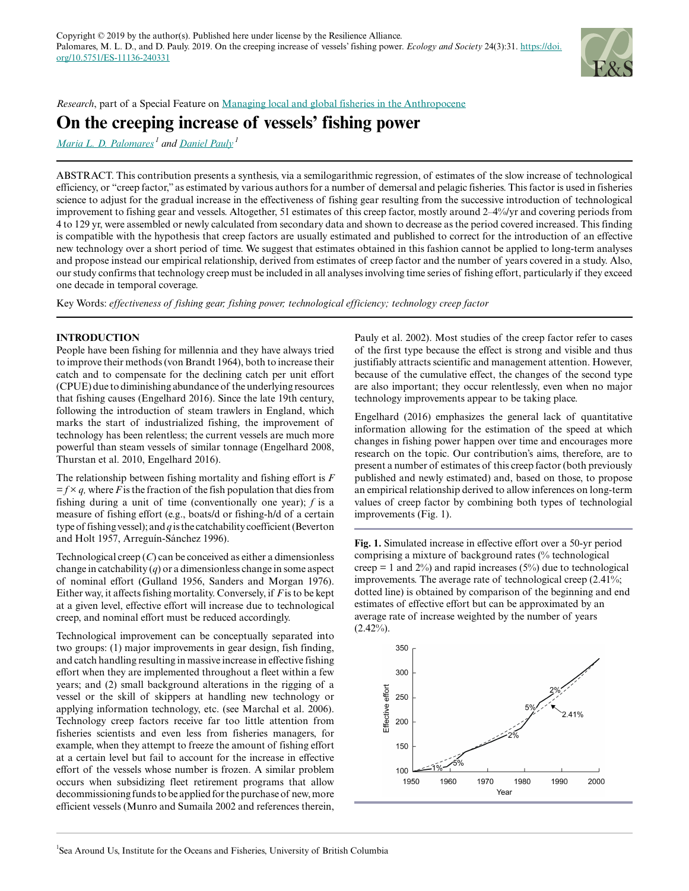

*Research*, part of a Special Feature on [Managing local and global fisheries in the Anthropocene](https://www.ecologyandsociety.org/viewissue.php?sf=137)

# **On the creeping increase of vessels' fishing power**

*[Maria L. D. Palomares](mailto:m.palomares@oceans.ubc.ca)<sup>1</sup> and [Daniel Pauly](mailto:d.pauly@oceans.ubc.ca)<sup>1</sup>*

ABSTRACT. This contribution presents a synthesis, via a semilogarithmic regression, of estimates of the slow increase of technological efficiency, or "creep factor," as estimated by various authors for a number of demersal and pelagic fisheries. This factor is used in fisheries science to adjust for the gradual increase in the effectiveness of fishing gear resulting from the successive introduction of technological improvement to fishing gear and vessels. Altogether, 51 estimates of this creep factor, mostly around 2–4%/yr and covering periods from 4 to 129 yr, were assembled or newly calculated from secondary data and shown to decrease as the period covered increased. This finding is compatible with the hypothesis that creep factors are usually estimated and published to correct for the introduction of an effective new technology over a short period of time. We suggest that estimates obtained in this fashion cannot be applied to long-term analyses and propose instead our empirical relationship, derived from estimates of creep factor and the number of years covered in a study. Also, our study confirms that technology creep must be included in all analyses involving time series of fishing effort, particularly if they exceed one decade in temporal coverage.

Key Words: *effectiveness of fishing gear; fishing power; technological efficiency; technology creep factor*

# **INTRODUCTION**

People have been fishing for millennia and they have always tried to improve their methods (von Brandt 1964), both to increase their catch and to compensate for the declining catch per unit effort (CPUE) due to diminishing abundance of the underlying resources that fishing causes (Engelhard 2016). Since the late 19th century, following the introduction of steam trawlers in England, which marks the start of industrialized fishing, the improvement of technology has been relentless; the current vessels are much more powerful than steam vessels of similar tonnage (Engelhard 2008, Thurstan et al. 2010, Engelhard 2016).

The relationship between fishing mortality and fishing effort is *F*  $=$  *f*  $\times$  *q*, where *F* is the fraction of the fish population that dies from fishing during a unit of time (conventionally one year); *f* is a measure of fishing effort (e.g., boats/d or fishing-h/d of a certain type of fishing vessel); and *q* is the catchability coefficient (Beverton and Holt 1957, Arreguín-Sánchez 1996).

Technological creep (*C*) can be conceived as either a dimensionless change in catchability (*q*) or a dimensionless change in some aspect of nominal effort (Gulland 1956, Sanders and Morgan 1976). Either way, it affects fishing mortality. Conversely, if *F* is to be kept at a given level, effective effort will increase due to technological creep, and nominal effort must be reduced accordingly.

Technological improvement can be conceptually separated into two groups: (1) major improvements in gear design, fish finding, and catch handling resulting in massive increase in effective fishing effort when they are implemented throughout a fleet within a few years; and (2) small background alterations in the rigging of a vessel or the skill of skippers at handling new technology or applying information technology, etc. (see Marchal et al. 2006). Technology creep factors receive far too little attention from fisheries scientists and even less from fisheries managers, for example, when they attempt to freeze the amount of fishing effort at a certain level but fail to account for the increase in effective effort of the vessels whose number is frozen. A similar problem occurs when subsidizing fleet retirement programs that allow decommissioning funds to be applied for the purchase of new, more efficient vessels (Munro and Sumaila 2002 and references therein, Pauly et al. 2002). Most studies of the creep factor refer to cases of the first type because the effect is strong and visible and thus justifiably attracts scientific and management attention. However, because of the cumulative effect, the changes of the second type are also important; they occur relentlessly, even when no major technology improvements appear to be taking place.

Engelhard (2016) emphasizes the general lack of quantitative information allowing for the estimation of the speed at which changes in fishing power happen over time and encourages more research on the topic. Our contribution's aims, therefore, are to present a number of estimates of this creep factor (both previously published and newly estimated) and, based on those, to propose an empirical relationship derived to allow inferences on long-term values of creep factor by combining both types of technologial improvements (Fig. 1).

**Fig. 1.** Simulated increase in effective effort over a 50-yr period comprising a mixture of background rates (% technological creep  $= 1$  and 2%) and rapid increases (5%) due to technological improvements. The average rate of technological creep (2.41%; dotted line) is obtained by comparison of the beginning and end estimates of effective effort but can be approximated by an average rate of increase weighted by the number of years  $(2.42\%)$ .

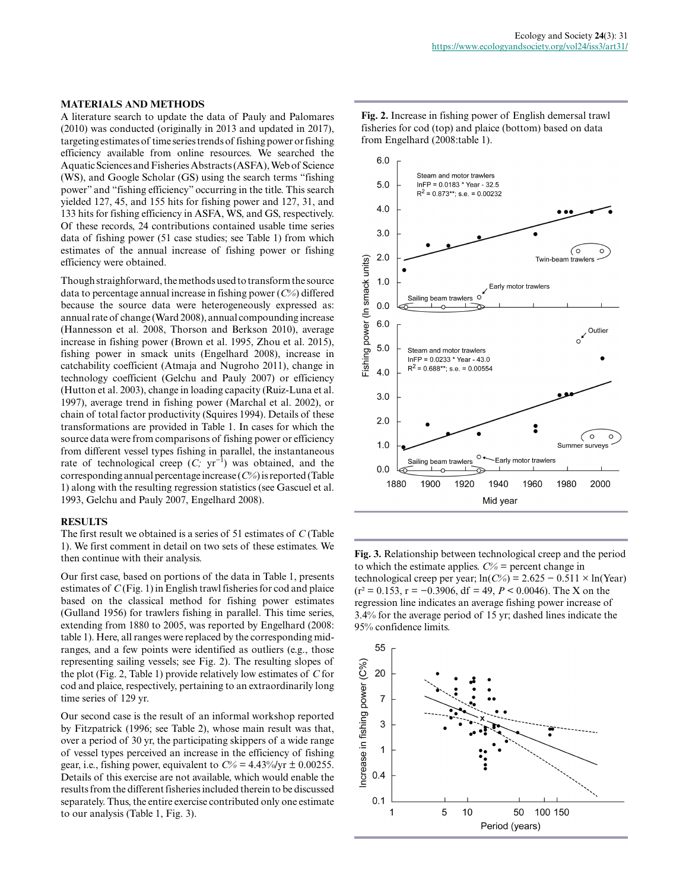#### **MATERIALS AND METHODS**

A literature search to update the data of Pauly and Palomares (2010) was conducted (originally in 2013 and updated in 2017), targeting estimates of time series trends of fishing power or fishing efficiency available from online resources. We searched the Aquatic Sciences and Fisheries Abstracts (ASFA), Web of Science (WS), and Google Scholar (GS) using the search terms "fishing power" and "fishing efficiency" occurring in the title. This search yielded 127, 45, and 155 hits for fishing power and 127, 31, and 133 hits for fishing efficiency in ASFA, WS, and GS, respectively. Of these records, 24 contributions contained usable time series data of fishing power (51 case studies; see Table 1) from which estimates of the annual increase of fishing power or fishing efficiency were obtained.

Though straighforward, the methods used to transform the source data to percentage annual increase in fishing power (*C%*) differed because the source data were heterogeneously expressed as: annual rate of change (Ward 2008), annual compounding increase (Hannesson et al. 2008, Thorson and Berkson 2010), average increase in fishing power (Brown et al. 1995, Zhou et al. 2015), fishing power in smack units (Engelhard 2008), increase in catchability coefficient (Atmaja and Nugroho 2011), change in technology coefficient (Gelchu and Pauly 2007) or efficiency (Hutton et al. 2003), change in loading capacity (Ruiz-Luna et al. 1997), average trend in fishing power (Marchal et al. 2002), or chain of total factor productivity (Squires 1994). Details of these transformations are provided in Table 1. In cases for which the source data were from comparisons of fishing power or efficiency from different vessel types fishing in parallel, the instantaneous rate of technological creep (*C;* yr−1) was obtained, and the corresponding annual percentage increase (*C%*) is reported (Table 1) along with the resulting regression statistics (see Gascuel et al. 1993, Gelchu and Pauly 2007, Engelhard 2008).

## **RESULTS**

The first result we obtained is a series of 51 estimates of *C* (Table 1). We first comment in detail on two sets of these estimates. We then continue with their analysis.

Our first case, based on portions of the data in Table 1, presents estimates of *C* (Fig. 1) in English trawl fisheries for cod and plaice based on the classical method for fishing power estimates (Gulland 1956) for trawlers fishing in parallel. This time series, extending from 1880 to 2005, was reported by Engelhard (2008: table 1). Here, all ranges were replaced by the corresponding midranges, and a few points were identified as outliers (e.g., those representing sailing vessels; see Fig. 2). The resulting slopes of the plot (Fig. 2, Table 1) provide relatively low estimates of *C* for cod and plaice, respectively, pertaining to an extraordinarily long time series of 129 yr.

Our second case is the result of an informal workshop reported by Fitzpatrick (1996; see Table 2), whose main result was that, over a period of 30 yr, the participating skippers of a wide range of vessel types perceived an increase in the efficiency of fishing gear, i.e., fishing power, equivalent to  $C\% = 4.43\% / \text{yr} \pm 0.00255$ . Details of this exercise are not available, which would enable the results from the different fisheries included therein to be discussed separately. Thus, the entire exercise contributed only one estimate to our analysis (Table 1, Fig. 3).

**Fig. 2.** Increase in fishing power of English demersal trawl fisheries for cod (top) and plaice (bottom) based on data from Engelhard (2008:table 1).



**Fig. 3.** Relationship between technological creep and the period to which the estimate applies.  $C\%$  = percent change in technological creep per year;  $ln(C\%) = 2.625 - 0.511 \times ln(Year)$ (r² = 0.153, r = −0.3906, df = 49, *P* < 0.0046). The X on the regression line indicates an average fishing power increase of 3.4% for the average period of 15 yr; dashed lines indicate the 95% confidence limits.

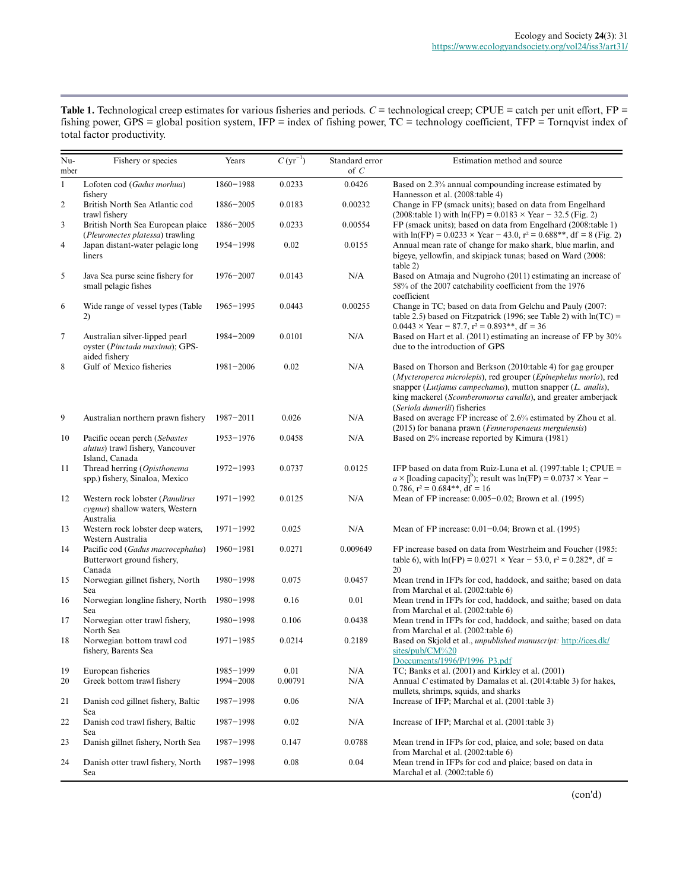| <b>Table 1.</b> Technological creep estimates for various fisheries and periods. $C =$ technological creep; CPUE = catch per unit effort, FP = |
|------------------------------------------------------------------------------------------------------------------------------------------------|
| fishing power, GPS = global position system, IFP = index of fishing power, $TC$ = technology coefficient, TFP = Tornqvist index of             |
| total factor productivity.                                                                                                                     |

| Nu-<br>mber      | Fishery or species                                                                  | Years                  | $C (yr^{-1})$   | Standard error<br>of $C$ | Estimation method and source                                                                                                                                                                                                                                                                  |
|------------------|-------------------------------------------------------------------------------------|------------------------|-----------------|--------------------------|-----------------------------------------------------------------------------------------------------------------------------------------------------------------------------------------------------------------------------------------------------------------------------------------------|
| $\mathbf{1}$     | Lofoten cod (Gadus morhua)<br>fishery                                               | $1860 - 1988$          | 0.0233          | 0.0426                   | Based on 2.3% annual compounding increase estimated by<br>Hannesson et al. (2008:table 4)                                                                                                                                                                                                     |
| $\mathfrak{2}$   | British North Sea Atlantic cod<br>trawl fishery                                     | $1886 - 2005$          | 0.0183          | 0.00232                  | Change in FP (smack units); based on data from Engelhard<br>$(2008:$ table 1) with $ln(FP) = 0.0183 \times Year - 32.5$ (Fig. 2)                                                                                                                                                              |
| 3                | British North Sea European plaice<br>(Pleuronectes platessa) trawling               | 1886-2005              | 0.0233          | 0.00554                  | FP (smack units); based on data from Engelhard (2008:table 1)<br>with $ln(FP) = 0.0233 \times Year - 43.0$ , $r^2 = 0.688**$ , df = 8 (Fig. 2)                                                                                                                                                |
| $\overline{4}$   | Japan distant-water pelagic long<br>liners                                          | 1954-1998              | 0.02            | 0.0155                   | Annual mean rate of change for mako shark, blue marlin, and<br>bigeye, yellowfin, and skipjack tunas; based on Ward (2008:<br>table 2)                                                                                                                                                        |
| 5                | Java Sea purse seine fishery for<br>small pelagic fishes                            | $1976 - 2007$          | 0.0143          | N/A                      | Based on Atmaja and Nugroho (2011) estimating an increase of<br>58% of the 2007 catchability coefficient from the 1976<br>coefficient                                                                                                                                                         |
| 6                | Wide range of vessel types (Table<br>2)                                             | $1965 - 1995$          | 0.0443          | 0.00255                  | Change in TC; based on data from Gelchu and Pauly (2007:<br>table 2.5) based on Fitzpatrick (1996; see Table 2) with $ln(TC)$ =<br>$0.0443 \times \text{Year} - 87.7$ , $r^2 = 0.893**$ , df = 36                                                                                             |
| $\boldsymbol{7}$ | Australian silver-lipped pearl<br>oyster (Pinctada maxima); GPS-<br>aided fishery   | 1984-2009              | 0.0101          | N/A                      | Based on Hart et al. (2011) estimating an increase of FP by 30%<br>due to the introduction of GPS                                                                                                                                                                                             |
| 8                | Gulf of Mexico fisheries                                                            | $1981 - 2006$          | 0.02            | N/A                      | Based on Thorson and Berkson (2010:table 4) for gag grouper<br>(Mycteroperca microlepis), red grouper (Epinephelus morio), red<br>snapper (Lutjanus campechanus), mutton snapper (L. analis),<br>king mackerel (Scomberomorus cavalla), and greater amberjack<br>(Seriola dumerili) fisheries |
| 9                | Australian northern prawn fishery                                                   | $1987 - 2011$          | 0.026           | N/A                      | Based on average FP increase of 2.6% estimated by Zhou et al.<br>(2015) for banana prawn (Fenneropenaeus merguiensis)                                                                                                                                                                         |
| 10               | Pacific ocean perch (Sebastes<br>alutus) trawl fishery, Vancouver<br>Island, Canada | $1953 - 1976$          | 0.0458          | N/A                      | Based on 2% increase reported by Kimura (1981)                                                                                                                                                                                                                                                |
| 11               | Thread herring (Opisthonema<br>spp.) fishery, Sinaloa, Mexico                       | $1972 - 1993$          | 0.0737          | 0.0125                   | IFP based on data from Ruiz-Luna et al. (1997:table 1; CPUE =<br>$a \times$ [loading capacity] <sup>b</sup> ); result was $ln(FP) = 0.0737 \times Year$<br>0.786, $r^2 = 0.684**$ , df = 16                                                                                                   |
| 12               | Western rock lobster (Panulirus<br>cygnus) shallow waters, Western<br>Australia     | $1971 - 1992$          | 0.0125          | N/A                      | Mean of FP increase: 0.005-0.02; Brown et al. (1995)                                                                                                                                                                                                                                          |
| 13               | Western rock lobster deep waters,<br>Western Australia                              | $1971 - 1992$          | 0.025           | N/A                      | Mean of FP increase: $0.01 - 0.04$ ; Brown et al. (1995)                                                                                                                                                                                                                                      |
| 14               | Pacific cod (Gadus macrocephalus)<br>Butterwort ground fishery,<br>Canada           | $1960 - 1981$          | 0.0271          | 0.009649                 | FP increase based on data from Westrheim and Foucher (1985:<br>table 6), with $ln(FP) = 0.0271 \times Year - 53.0$ , $r^2 = 0.282$ <sup>*</sup> , df =<br>20                                                                                                                                  |
| 15               | Norwegian gillnet fishery, North<br>Sea                                             | 1980-1998              | 0.075           | 0.0457                   | Mean trend in IFPs for cod, haddock, and saithe; based on data<br>from Marchal et al. (2002:table 6)                                                                                                                                                                                          |
| 16               | Norwegian longline fishery, North<br>Sea                                            | $1980 - 1998$          | 0.16            | 0.01                     | Mean trend in IFPs for cod, haddock, and saithe; based on data<br>from Marchal et al. (2002:table 6)                                                                                                                                                                                          |
| 17               | Norwegian otter trawl fishery,<br>North Sea                                         | 1980-1998              | 0.106           | 0.0438                   | Mean trend in IFPs for cod, haddock, and saithe; based on data<br>from Marchal et al. (2002:table 6)                                                                                                                                                                                          |
| 18               | Norwegian bottom trawl cod<br>fishery, Barents Sea                                  | $1971 - 1985$          | 0.0214          | 0.2189                   | Based on Skjold et al., unpublished manuscript: http://ices.dk/<br>sites/pub/CM%20<br>Doccuments/1996/P/1996_P3.pdf                                                                                                                                                                           |
| 19<br>20         | European fisheries<br>Greek bottom trawl fishery                                    | 1985-1999<br>1994-2008 | 0.01<br>0.00791 | N/A<br>N/A               | TC; Banks et al. (2001) and Kirkley et al. (2001)<br>Annual C estimated by Damalas et al. (2014:table 3) for hakes,<br>mullets, shrimps, squids, and sharks                                                                                                                                   |
| 21               | Danish cod gillnet fishery, Baltic<br>Sea                                           | 1987-1998              | 0.06            | N/A                      | Increase of IFP; Marchal et al. (2001:table 3)                                                                                                                                                                                                                                                |
| 22               | Danish cod trawl fishery, Baltic<br>Sea                                             | 1987-1998              | 0.02            | N/A                      | Increase of IFP; Marchal et al. (2001:table 3)                                                                                                                                                                                                                                                |
| 23               | Danish gillnet fishery, North Sea                                                   | 1987-1998              | 0.147           | 0.0788                   | Mean trend in IFPs for cod, plaice, and sole; based on data<br>from Marchal et al. (2002:table 6)                                                                                                                                                                                             |
| 24               | Danish otter trawl fishery, North<br>Sea                                            | 1987-1998              | 0.08            | 0.04                     | Mean trend in IFPs for cod and plaice; based on data in<br>Marchal et al. (2002:table 6)                                                                                                                                                                                                      |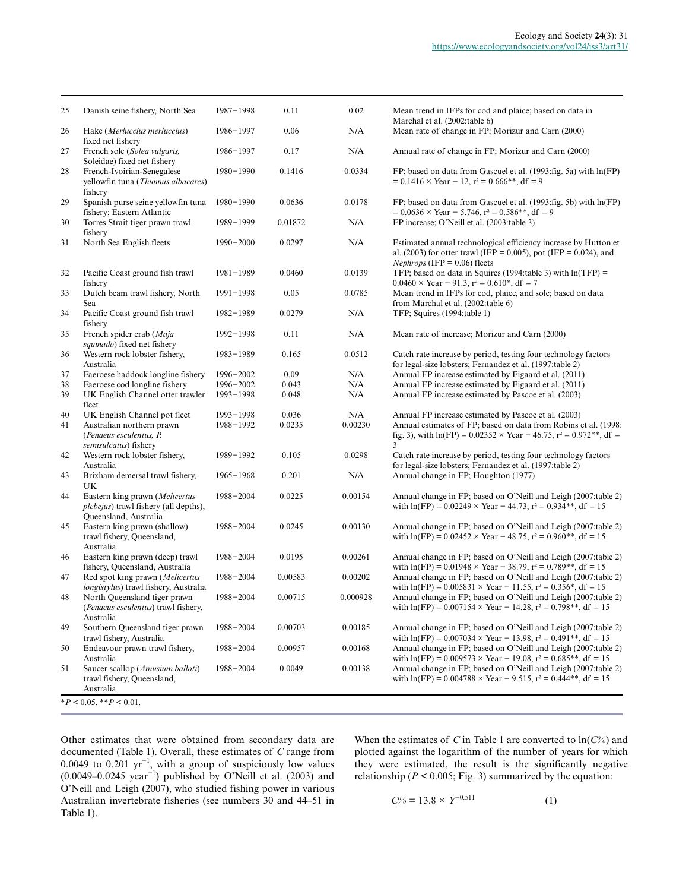| 25 | Danish seine fishery, North Sea                                                                  | $1987 - 1998$ | 0.11    | 0.02     | Mean trend in IFPs for cod and plaice; based on data in<br>Marchal et al. (2002:table 6)                                                                                      |
|----|--------------------------------------------------------------------------------------------------|---------------|---------|----------|-------------------------------------------------------------------------------------------------------------------------------------------------------------------------------|
| 26 | Hake (Merluccius merluccius)<br>fixed net fishery                                                | 1986-1997     | 0.06    | N/A      | Mean rate of change in FP; Morizur and Carn (2000)                                                                                                                            |
| 27 | French sole (Solea vulgaris,<br>Soleidae) fixed net fishery                                      | 1986-1997     | 0.17    | N/A      | Annual rate of change in FP; Morizur and Carn (2000)                                                                                                                          |
| 28 | French-Ivoirian-Senegalese<br>yellowfin tuna (Thunnus albacares)<br>fishery                      | $1980 - 1990$ | 0.1416  | 0.0334   | FP; based on data from Gascuel et al. (1993: fig. 5a) with $ln(FP)$<br>$= 0.1416 \times \text{Year} - 12$ , $r^2 = 0.666$ **, df = 9                                          |
| 29 | Spanish purse seine yellowfin tuna<br>fishery; Eastern Atlantic                                  | $1980 - 1990$ | 0.0636  | 0.0178   | FP; based on data from Gascuel et al. (1993: fig. 5b) with ln(FP)<br>$= 0.0636 \times \text{Year} - 5.746$ , $r^2 = 0.586$ <sup>**</sup> , df = 9                             |
| 30 | Torres Strait tiger prawn trawl<br>fishery                                                       | 1989-1999     | 0.01872 | N/A      | FP increase; O'Neill et al. (2003:table 3)                                                                                                                                    |
| 31 | North Sea English fleets                                                                         | $1990 - 2000$ | 0.0297  | N/A      | Estimated annual technological efficiency increase by Hutton et<br>al. (2003) for otter trawl (IFP = 0.005), pot (IFP = 0.024), and<br><i>Nephrops</i> (IFP = $0.06$ ) fleets |
| 32 | Pacific Coast ground fish trawl<br>fishery                                                       | $1981 - 1989$ | 0.0460  | 0.0139   | TFP; based on data in Squires (1994:table 3) with $ln(TFP)$ =<br>$0.0460 \times$ Year - 91.3, r <sup>2</sup> = 0.610 <sup>*</sup> , df = 7                                    |
| 33 | Dutch beam trawl fishery, North<br>Sea                                                           | $1991 - 1998$ | 0.05    | 0.0785   | Mean trend in IFPs for cod, plaice, and sole; based on data<br>from Marchal et al. (2002:table 6)                                                                             |
| 34 | Pacific Coast ground fish trawl<br>fishery                                                       | 1982-1989     | 0.0279  | N/A      | TFP; Squires (1994:table 1)                                                                                                                                                   |
| 35 | French spider crab (Maja<br>squinado) fixed net fishery                                          | $1992 - 1998$ | 0.11    | N/A      | Mean rate of increase; Morizur and Carn (2000)                                                                                                                                |
| 36 | Western rock lobster fishery,<br>Australia                                                       | 1983-1989     | 0.165   | 0.0512   | Catch rate increase by period, testing four technology factors<br>for legal-size lobsters; Fernandez et al. (1997:table 2)                                                    |
| 37 | Faeroese haddock longline fishery                                                                | 1996-2002     | 0.09    | N/A      | Annual FP increase estimated by Eigaard et al. (2011)                                                                                                                         |
| 38 | Faeroese cod longline fishery                                                                    | 1996-2002     | 0.043   | N/A      | Annual FP increase estimated by Eigaard et al. (2011)                                                                                                                         |
| 39 | UK English Channel otter trawler<br>fleet                                                        | $1993 - 1998$ | 0.048   | N/A      | Annual FP increase estimated by Pascoe et al. (2003)                                                                                                                          |
| 40 | UK English Channel pot fleet                                                                     | 1993-1998     | 0.036   | N/A      | Annual FP increase estimated by Pascoe et al. (2003)                                                                                                                          |
| 41 | Australian northern prawn<br>(Penaeus esculentus, P.<br>semisulcatus) fishery                    | 1988-1992     | 0.0235  | 0.00230  | Annual estimates of FP; based on data from Robins et al. (1998:<br>fig. 3), with $ln(FP) = 0.02352 \times Year - 46.75$ , $r^2 = 0.972**$ , df =<br>3                         |
| 42 | Western rock lobster fishery,<br>Australia                                                       | 1989-1992     | 0.105   | 0.0298   | Catch rate increase by period, testing four technology factors<br>for legal-size lobsters; Fernandez et al. (1997:table 2)                                                    |
| 43 | Brixham demersal trawl fishery,<br>UK                                                            | $1965 - 1968$ | 0.201   | N/A      | Annual change in FP; Houghton (1977)                                                                                                                                          |
| 44 | Eastern king prawn (Melicertus<br>plebejus) trawl fishery (all depths),<br>Queensland, Australia | $1988 - 2004$ | 0.0225  | 0.00154  | Annual change in FP; based on O'Neill and Leigh (2007:table 2)<br>with $ln(FP) = 0.02249 \times Year - 44.73$ , $r^2 = 0.934**$ , df = 15                                     |
| 45 | Eastern king prawn (shallow)<br>trawl fishery, Queensland,<br>Australia                          | 1988-2004     | 0.0245  | 0.00130  | Annual change in FP; based on O'Neill and Leigh (2007:table 2)<br>with $ln(FP) = 0.02452 \times Year - 48.75$ , $r^2 = 0.960**$ , df = 15                                     |
| 46 | Eastern king prawn (deep) trawl<br>fishery, Queensland, Australia                                | $1988 - 2004$ | 0.0195  | 0.00261  | Annual change in FP; based on O'Neill and Leigh (2007:table 2)<br>with $ln(FP) = 0.01948 \times Year - 38.79$ , $r^2 = 0.789**$ , df = 15                                     |
| 47 | Red spot king prawn (Melicertus<br>longistylus) trawl fishery, Australia                         | $1988 - 2004$ | 0.00583 | 0.00202  | Annual change in FP; based on O'Neill and Leigh (2007:table 2)<br>with $ln(FP) = 0.005831 \times Year - 11.55$ , $r^2 = 0.356$ <sup>*</sup> , df = 15                         |
| 48 | North Queensland tiger prawn<br>(Penaeus esculentus) trawl fishery,<br>Australia                 | $1988 - 2004$ | 0.00715 | 0.000928 | Annual change in FP; based on O'Neill and Leigh (2007:table 2)<br>with $ln(FP) = 0.007154 \times Year - 14.28$ , $r^2 = 0.798**$ , df = 15                                    |
| 49 | Southern Queensland tiger prawn<br>trawl fishery, Australia                                      | 1988-2004     | 0.00703 | 0.00185  | Annual change in FP; based on O'Neill and Leigh (2007:table 2)<br>with $ln(FP) = 0.007034 \times Year - 13.98$ , $r^2 = 0.491**$ , df = 15                                    |
| 50 | Endeavour prawn trawl fishery,<br>Australia                                                      | 1988-2004     | 0.00957 | 0.00168  | Annual change in FP; based on O'Neill and Leigh (2007:table 2)<br>with $ln(FP) = 0.009573 \times Year - 19.08$ , $r^2 = 0.685**$ , df = 15                                    |
| 51 | Saucer scallop (Amusium balloti)<br>trawl fishery, Queensland,<br>Australia                      | 1988-2004     | 0.0049  | 0.00138  | Annual change in FP; based on O'Neill and Leigh (2007:table 2)<br>with $ln(FP) = 0.004788 \times Year - 9.515$ , $r^2 = 0.444**$ , df = 15                                    |

Other estimates that were obtained from secondary data are documented (Table 1). Overall, these estimates of *C* range from 0.0049 to 0.201  $yr^{-1}$ , with a group of suspiciously low values  $(0.0049-0.0245 \text{ year}^{-1})$  published by O'Neill et al. (2003) and O'Neill and Leigh (2007), who studied fishing power in various Australian invertebrate fisheries (see numbers 30 and 44–51 in Table 1).

When the estimates of *C* in Table 1 are converted to ln(*C%*) and plotted against the logarithm of the number of years for which they were estimated, the result is the significantly negative relationship ( $P < 0.005$ ; Fig. 3) summarized by the equation:

$$
C\% = 13.8 \times Y^{-0.511} \tag{1}
$$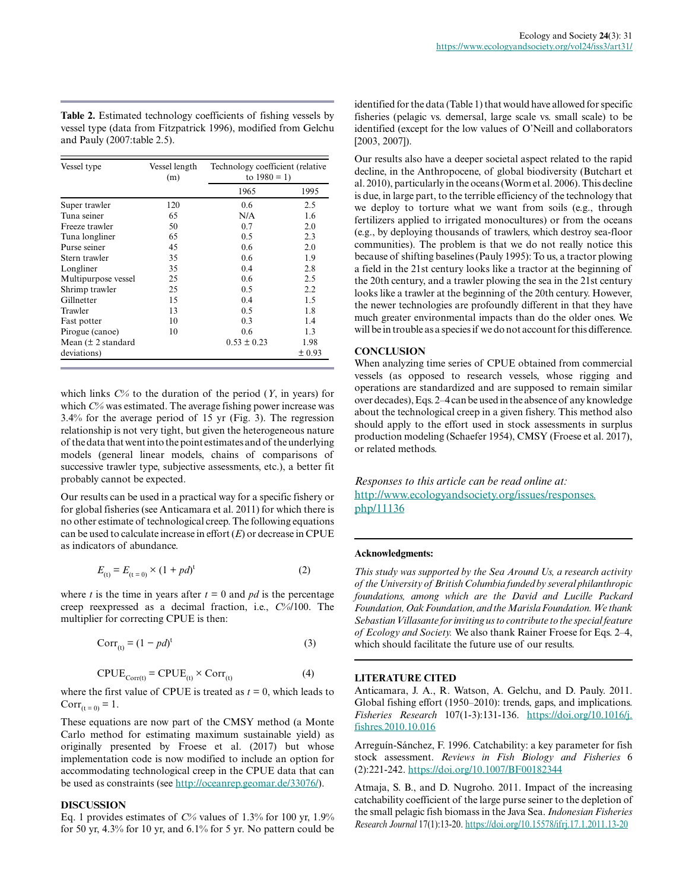**Table 2.** Estimated technology coefficients of fishing vessels by vessel type (data from Fitzpatrick 1996), modified from Gelchu and Pauly (2007:table 2.5).

| Vessel type                     | Vessel length<br>(m) | Technology coefficient (relative<br>to $1980 = 1$ ) |        |  |
|---------------------------------|----------------------|-----------------------------------------------------|--------|--|
|                                 |                      | 1965                                                | 1995   |  |
| Super trawler                   | 120                  | $0.6^{\circ}$                                       | 2.5    |  |
| Tuna seiner                     | 65                   | N/A                                                 | 1.6    |  |
| Freeze trawler                  | 50                   | 0.7                                                 | 2.0    |  |
| Tuna longliner                  | 65                   | 0.5                                                 | 2.3    |  |
| Purse seiner                    | 45                   | 0.6                                                 | 2.0    |  |
| Stern trawler                   | 35                   | 0.6                                                 | 1.9    |  |
| Longliner                       | 35                   | 0.4                                                 | 2.8    |  |
| Multipurpose vessel             | 25                   | 0.6                                                 | 2.5    |  |
| Shrimp trawler                  | 25                   | 0.5                                                 | 2.2    |  |
| Gillnetter                      | 15                   | 0.4                                                 | 1.5    |  |
| Trawler                         | 13                   | 0.5                                                 | 1.8    |  |
| Fast potter                     | 10                   | 0.3                                                 | 1.4    |  |
| Pirogue (canoe)                 | 10                   | 0.6                                                 | 1.3    |  |
| Mean $(\pm 2 \text{ standard})$ |                      | $0.53 \pm 0.23$                                     | 1.98   |  |
| deviations)                     |                      |                                                     | ± 0.93 |  |

which links *C%* to the duration of the period (*Y*, in years) for which *C%* was estimated. The average fishing power increase was 3.4% for the average period of 15 yr (Fig. 3). The regression relationship is not very tight, but given the heterogeneous nature of the data that went into the point estimates and of the underlying models (general linear models, chains of comparisons of successive trawler type, subjective assessments, etc.), a better fit probably cannot be expected.

Our results can be used in a practical way for a specific fishery or for global fisheries (see Anticamara et al. 2011) for which there is no other estimate of technological creep. The following equations can be used to calculate increase in effort (*E*) or decrease in CPUE as indicators of abundance.

$$
E_{(t)} = E_{(t=0)} \times (1 + pd)^{t}
$$
 (2)

where *t* is the time in years after  $t = 0$  and *pd* is the percentage creep reexpressed as a decimal fraction, i.e., *C%*/100. The multiplier for correcting CPUE is then:

$$
Corr_{(t)} = (1 - pd)^t
$$
\n(3)

$$
CPUE_{Corr(t)} = CPUE_{(t)} \times Corr_{(t)}
$$
 (4)

where the first value of CPUE is treated as  $t = 0$ , which leads to  $Corr_{(t = 0)} = 1.$ 

These equations are now part of the CMSY method (a Monte Carlo method for estimating maximum sustainable yield) as originally presented by Froese et al. (2017) but whose implementation code is now modified to include an option for accommodating technological creep in the CPUE data that can be used as constraints (see [http://oceanrep.geomar.de/33076/\)](http://oceanrep.geomar.de/33076/).

# **DISCUSSION**

Eq. 1 provides estimates of *C%* values of 1.3% for 100 yr, 1.9% for 50 yr, 4.3% for 10 yr, and 6.1% for 5 yr. No pattern could be identified for the data (Table 1) that would have allowed for specific fisheries (pelagic vs. demersal, large scale vs. small scale) to be identified (except for the low values of O'Neill and collaborators [2003, 2007]).

Our results also have a deeper societal aspect related to the rapid decline, in the Anthropocene, of global biodiversity (Butchart et al. 2010), particularly in the oceans (Worm et al. 2006). This decline is due, in large part, to the terrible efficiency of the technology that we deploy to torture what we want from soils (e.g., through fertilizers applied to irrigated monocultures) or from the oceans (e.g., by deploying thousands of trawlers, which destroy sea-floor communities). The problem is that we do not really notice this because of shifting baselines (Pauly 1995): To us, a tractor plowing a field in the 21st century looks like a tractor at the beginning of the 20th century, and a trawler plowing the sea in the 21st century looks like a trawler at the beginning of the 20th century. However, the newer technologies are profoundly different in that they have much greater environmental impacts than do the older ones. We will be in trouble as a species if we do not account for this difference.

# **CONCLUSION**

When analyzing time series of CPUE obtained from commercial vessels (as opposed to research vessels, whose rigging and operations are standardized and are supposed to remain similar over decades), Eqs. 2–4 can be used in the absence of any knowledge about the technological creep in a given fishery. This method also should apply to the effort used in stock assessments in surplus production modeling (Schaefer 1954), CMSY (Froese et al. 2017), or related methods.

*Responses to this article can be read online at:* [http://www.ecologyandsociety.org/issues/responses.](http://www.ecologyandsociety.org/issues/responses.php/11136) [php/11136](http://www.ecologyandsociety.org/issues/responses.php/11136)

## **Acknowledgments:**

*This study was supported by the Sea Around Us, a research activity of the University of British Columbia funded by several philanthropic foundations, among which are the David and Lucille Packard Foundation, Oak Foundation, and the Marisla Foundation. We thank Sebastian Villasante for inviting us to contribute to the special feature of Ecology and Society.* We also thank Rainer Froese for Eqs. 2–4, which should facilitate the future use of our results.

### **LITERATURE CITED**

Anticamara, J. A., R. Watson, A. Gelchu, and D. Pauly. 2011. Global fishing effort (1950–2010): trends, gaps, and implications. *Fisheries Research* 107(1-3):131-136. [https://doi.org/10.1016/j.](https://doi.org/10.1016/j.fishres.2010.10.016) [fishres.2010.10.016](https://doi.org/10.1016/j.fishres.2010.10.016) 

Arreguín-Sánchez, F. 1996. Catchability: a key parameter for fish stock assessment. *Reviews in Fish Biology and Fisheries* 6 (2):221-242. <https://doi.org/10.1007/BF00182344>

Atmaja, S. B., and D. Nugroho. 2011. Impact of the increasing catchability coefficient of the large purse seiner to the depletion of the small pelagic fish biomass in the Java Sea. *Indonesian Fisheries Research Journal* 17(1):13-20.<https://doi.org/10.15578/ifrj.17.1.2011.13-20>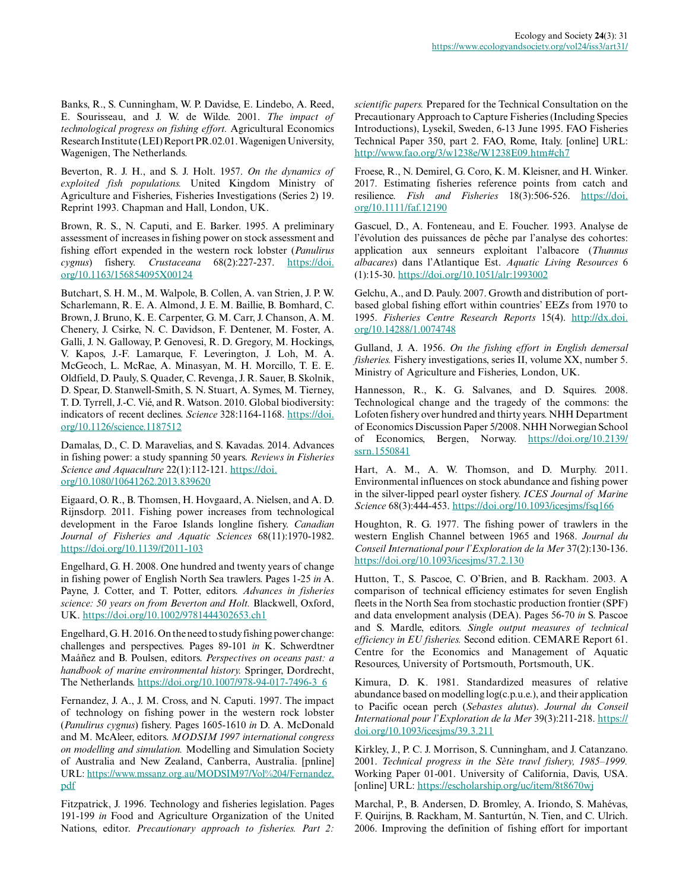Banks, R., S. Cunningham, W. P. Davidse, E. Lindebo, A. Reed, E. Sourisseau, and J. W. de Wilde. 2001. *The impact of technological progress on fishing effort.* Agricultural Economics Research Institute (LEI) Report PR.02.01. Wagenigen University, Wagenigen, The Netherlands.

Beverton, R. J. H., and S. J. Holt. 1957. *On the dynamics of exploited fish populations.* United Kingdom Ministry of Agriculture and Fisheries, Fisheries Investigations (Series 2) 19. Reprint 1993. Chapman and Hall, London, UK.

Brown, R. S., N. Caputi, and E. Barker. 1995. A preliminary assessment of increases in fishing power on stock assessment and fishing effort expended in the western rock lobster (*Panulirus cygnus*) fishery. *Crustaceana* 68(2):227-237. [https://doi.](https://doi.org/10.1163/156854095X00124) [org/10.1163/156854095X00124](https://doi.org/10.1163/156854095X00124)

Butchart, S. H. M., M. Walpole, B. Collen, A. van Strien, J. P. W. Scharlemann, R. E. A. Almond, J. E. M. Baillie, B. Bomhard, C. Brown, J. Bruno, K. E. Carpenter, G. M. Carr, J. Chanson, A. M. Chenery, J. Csirke, N. C. Davidson, F. Dentener, M. Foster, A. Galli, J. N. Galloway, P. Genovesi, R. D. Gregory, M. Hockings, V. Kapos, J.-F. Lamarque, F. Leverington, J. Loh, M. A. McGeoch, L. McRae, A. Minasyan, M. H. Morcillo, T. E. E. Oldfield, D. Pauly, S. Quader, C. Revenga, J. R. Sauer, B. Skolnik, D. Spear, D. Stanwell-Smith, S. N. Stuart, A. Symes, M. Tierney, T. D. Tyrrell, J.-C. Vié, and R. Watson. 2010. Global biodiversity: indicators of recent declines. *Science* 328:1164-1168. [https://doi.](https://doi.org/10.1126/science.1187512) [org/10.1126/science.1187512](https://doi.org/10.1126/science.1187512)

Damalas, D., C. D. Maravelias, and S. Kavadas. 2014. Advances in fishing power: a study spanning 50 years. *Reviews in Fisheries Science and Aquaculture* 22(1):112-121. [https://doi.](https://doi.org/10.1080/10641262.2013.839620) [org/10.1080/10641262.2013.839620](https://doi.org/10.1080/10641262.2013.839620)

Eigaard, O. R., B. Thomsen, H. Hovgaard, A. Nielsen, and A. D. Rijnsdorp. 2011. Fishing power increases from technological development in the Faroe Islands longline fishery. *Canadian Journal of Fisheries and Aquatic Sciences* 68(11):1970-1982. <https://doi.org/10.1139/f2011-103>

Engelhard, G. H. 2008. One hundred and twenty years of change in fishing power of English North Sea trawlers. Pages 1-25 *in* A. Payne, J. Cotter, and T. Potter, editors. *Advances in fisheries science: 50 years on from Beverton and Holt.* Blackwell, Oxford, UK. <https://doi.org/10.1002/9781444302653.ch1>

Engelhard, G. H. 2016. On the need to study fishing power change: challenges and perspectives. Pages 89-101 *in* K. Schwerdtner Maáñez and B. Poulsen, editors. *Perspectives on oceans past: a handbook of marine environmental history.* Springer, Dordrecht, The Netherlands. [https://doi.org/10.1007/978-94-017-7496-3\\_6](https://doi.org/10.1007/978-94-017-7496-3_6) 

Fernandez, J. A., J. M. Cross, and N. Caputi. 1997. The impact of technology on fishing power in the western rock lobster (*Panulirus cygnus*) fishery. Pages 1605-1610 *in* D. A. McDonald and M. McAleer, editors. *MODSIM 1997 international congress on modelling and simulation.* Modelling and Simulation Society of Australia and New Zealand, Canberra, Australia. [pnline] URL: [https://www.mssanz.org.au/MODSIM97/Vol%204/Fernandez.](https://www.mssanz.org.au/MODSIM97/Vol%204/Fernandez.pdf) [pdf](https://www.mssanz.org.au/MODSIM97/Vol%204/Fernandez.pdf)

Fitzpatrick, J. 1996. Technology and fisheries legislation. Pages 191-199 *in* Food and Agriculture Organization of the United Nations, editor. *Precautionary approach to fisheries. Part 2:* *scientific papers.* Prepared for the Technical Consultation on the Precautionary Approach to Capture Fisheries (Including Species Introductions), Lysekil, Sweden, 6-13 June 1995. FAO Fisheries Technical Paper 350, part 2. FAO, Rome, Italy. [online] URL: <http://www.fao.org/3/w1238e/W1238E09.htm#ch7>

Froese, R., N. Demirel, G. Coro, K. M. Kleisner, and H. Winker. 2017. Estimating fisheries reference points from catch and resilience. *Fish and Fisheries* 18(3):506-526. [https://doi.](https://doi.org/10.1111/faf.12190) [org/10.1111/faf.12190](https://doi.org/10.1111/faf.12190)

Gascuel, D., A. Fonteneau, and E. Foucher. 1993. Analyse de l'évolution des puissances de pêche par l'analyse des cohortes: application aux senneurs exploitant l'albacore (*Thunnus albacares*) dans l'Atlantique Est. *Aquatic Living Resources* 6 (1):15-30. <https://doi.org/10.1051/alr:1993002>

Gelchu, A., and D. Pauly. 2007. Growth and distribution of portbased global fishing effort within countries' EEZs from 1970 to 1995. *Fisheries Centre Research Reports* 15(4). [http://dx.doi.](http://dx.doi.org/10.14288/1.0074748) [org/10.14288/1.0074748](http://dx.doi.org/10.14288/1.0074748)

Gulland, J. A. 1956. *On the fishing effort in English demersal fisheries.* Fishery investigations, series II, volume XX, number 5. Ministry of Agriculture and Fisheries, London, UK.

Hannesson, R., K. G. Salvanes, and D. Squires. 2008. Technological change and the tragedy of the commons: the Lofoten fishery over hundred and thirty years. NHH Department of Economics Discussion Paper 5/2008. NHH Norwegian School of Economics, Bergen, Norway. [https://doi.org/10.2139/](https://doi.org/10.2139/ssrn.1550841) [ssrn.1550841](https://doi.org/10.2139/ssrn.1550841)

Hart, A. M., A. W. Thomson, and D. Murphy. 2011. Environmental influences on stock abundance and fishing power in the silver-lipped pearl oyster fishery. *ICES Journal of Marine Science* 68(3):444-453.<https://doi.org/10.1093/icesjms/fsq166>

Houghton, R. G. 1977. The fishing power of trawlers in the western English Channel between 1965 and 1968. *Journal du Conseil International pour l'Exploration de la Mer* 37(2):130-136. <https://doi.org/10.1093/icesjms/37.2.130>

Hutton, T., S. Pascoe, C. O'Brien, and B. Rackham. 2003. A comparison of technical efficiency estimates for seven English fleets in the North Sea from stochastic production frontier (SPF) and data envelopment analysis (DEA). Pages 56-70 *in* S. Pascoe and S. Mardle, editors. *Single output measures of technical efficiency in EU fisheries.* Second edition. CEMARE Report 61. Centre for the Economics and Management of Aquatic Resources, University of Portsmouth, Portsmouth, UK.

Kimura, D. K. 1981. Standardized measures of relative abundance based on modelling log(c.p.u.e.), and their application to Pacific ocean perch (*Sebastes alutus*). *Journal du Conseil International pour l'Exploration de la Mer* 39(3):211-218. [https://](https://doi.org/10.1093/icesjms/39.3.211) [doi.org/10.1093/icesjms/39.3.211](https://doi.org/10.1093/icesjms/39.3.211) 

Kirkley, J., P. C. J. Morrison, S. Cunningham, and J. Catanzano. 2001. *Technical progress in the Sète trawl fishery, 1985–1999.* Working Paper 01-001. University of California, Davis, USA. [online] URL: <https://escholarship.org/uc/item/8t8670wj>

Marchal, P., B. Andersen, D. Bromley, A. Iriondo, S. Mahévas, F. Quirijns, B. Rackham, M. Santurtún, N. Tien, and C. Ulrich. 2006. Improving the definition of fishing effort for important